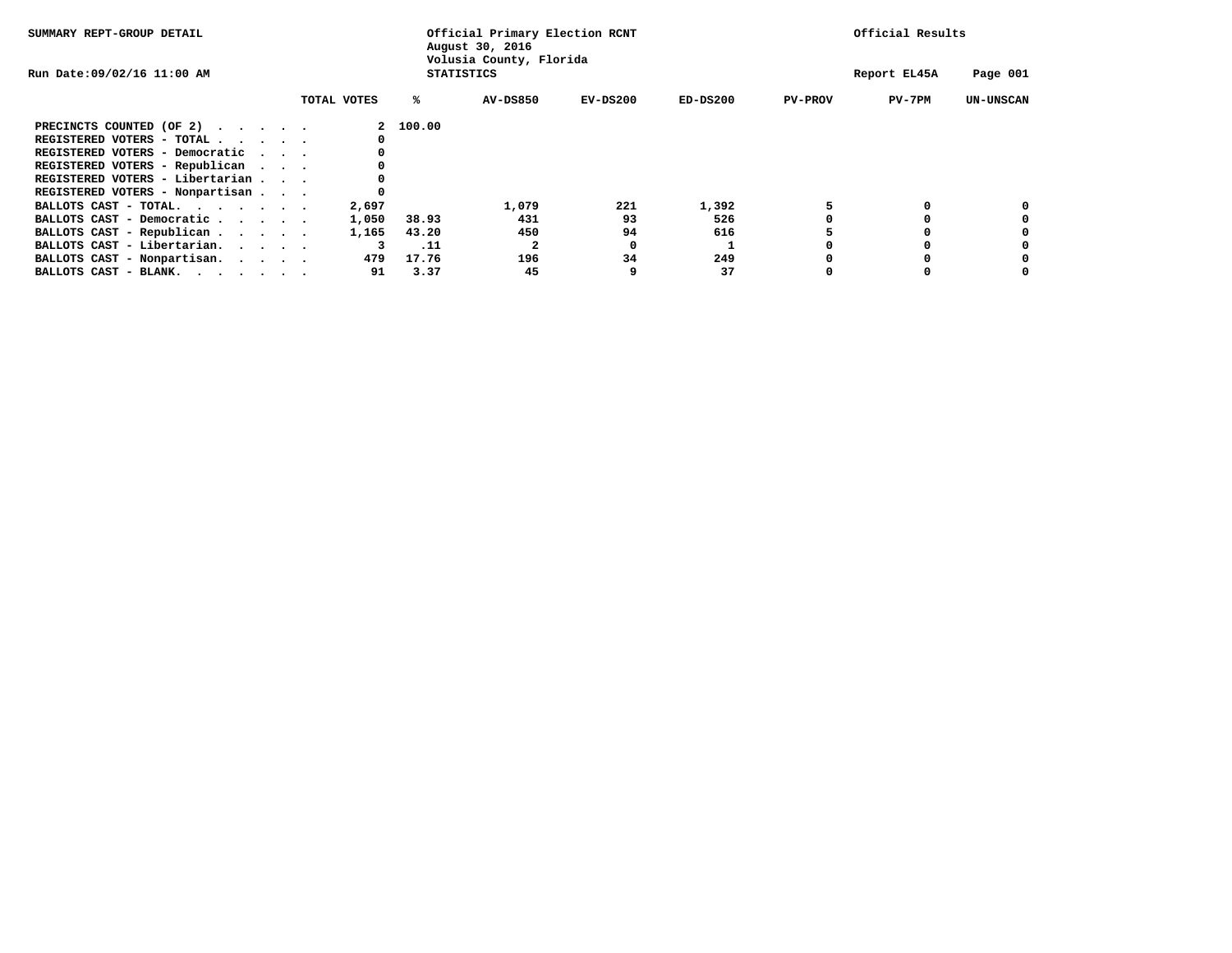| SUMMARY REPT-GROUP DETAIL                                   | Official Primary Election RCNT<br>August 30, 2016<br>Volusia County, Florida |                   |          |              |            |                | Official Results |                  |  |
|-------------------------------------------------------------|------------------------------------------------------------------------------|-------------------|----------|--------------|------------|----------------|------------------|------------------|--|
| Run Date: 09/02/16 11:00 AM                                 |                                                                              | <b>STATISTICS</b> |          | Report EL45A | Page 001   |                |                  |                  |  |
|                                                             | TOTAL VOTES                                                                  | ℁                 | AV-DS850 | $EV-DS200$   | $ED-DS200$ | <b>PV-PROV</b> | $PV-7PM$         | <b>UN-UNSCAN</b> |  |
| PRECINCTS COUNTED (OF 2)                                    |                                                                              | 2 100.00          |          |              |            |                |                  |                  |  |
| REGISTERED VOTERS - TOTAL                                   |                                                                              |                   |          |              |            |                |                  |                  |  |
| REGISTERED VOTERS - Democratic                              |                                                                              |                   |          |              |            |                |                  |                  |  |
| REGISTERED VOTERS - Republican                              |                                                                              |                   |          |              |            |                |                  |                  |  |
| REGISTERED VOTERS - Libertarian                             |                                                                              |                   |          |              |            |                |                  |                  |  |
| REGISTERED VOTERS - Nonpartisan                             |                                                                              |                   |          |              |            |                |                  |                  |  |
| BALLOTS CAST - TOTAL.                                       | 2,697                                                                        |                   | 1,079    | 221          | 1,392      |                |                  |                  |  |
| BALLOTS CAST - Democratic                                   | 1,050                                                                        | 38.93             | 431      | 93           | 526        |                |                  |                  |  |
| BALLOTS CAST - Republican                                   | 1,165                                                                        | 43.20             | 450      | 94           | 616        |                |                  |                  |  |
| BALLOTS CAST - Libertarian.                                 |                                                                              | .11               |          |              |            |                |                  |                  |  |
| BALLOTS CAST - Nonpartisan.                                 | 479                                                                          | 17.76             | 196      | 34           | 249        |                |                  |                  |  |
| BALLOTS CAST - BLANK. $\cdot$ , $\cdot$ , $\cdot$ , $\cdot$ | 91                                                                           | 3.37              | 45       |              | 37         |                |                  |                  |  |